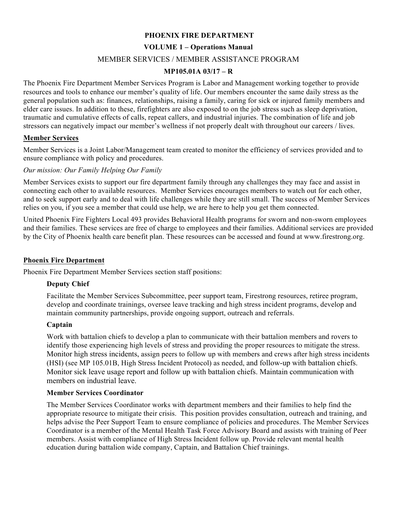## **PHOENIX FIRE DEPARTMENT**

### **VOLUME 1 – Operations Manual**

### MEMBER SERVICES / MEMBER ASSISTANCE PROGRAM

#### **MP105.01A 03/17 – R**

The Phoenix Fire Department Member Services Program is Labor and Management working together to provide resources and tools to enhance our member's quality of life. Our members encounter the same daily stress as the general population such as: finances, relationships, raising a family, caring for sick or injured family members and elder care issues. In addition to these, firefighters are also exposed to on the job stress such as sleep deprivation, traumatic and cumulative effects of calls, repeat callers, and industrial injuries. The combination of life and job stressors can negatively impact our member's wellness if not properly dealt with throughout our careers / lives.

#### **Member Services**

Member Services is a Joint Labor/Management team created to monitor the efficiency of services provided and to ensure compliance with policy and procedures.

#### *Our mission: Our Family Helping Our Family*

Member Services exists to support our fire department family through any challenges they may face and assist in connecting each other to available resources. Member Services encourages members to watch out for each other, and to seek support early and to deal with life challenges while they are still small. The success of Member Services relies on you, if you see a member that could use help, we are here to help you get them connected.

United Phoenix Fire Fighters Local 493 provides Behavioral Health programs for sworn and non-sworn employees and their families. These services are free of charge to employees and their families. Additional services are provided by the City of Phoenix health care benefit plan. These resources can be accessed and found at www.firestrong.org.

#### **Phoenix Fire Department**

Phoenix Fire Department Member Services section staff positions:

### **Deputy Chief**

Facilitate the Member Services Subcommittee, peer support team, Firestrong resources, retiree program, develop and coordinate trainings, oversee leave tracking and high stress incident programs, develop and maintain community partnerships, provide ongoing support, outreach and referrals.

#### **Captain**

Work with battalion chiefs to develop a plan to communicate with their battalion members and rovers to identify those experiencing high levels of stress and providing the proper resources to mitigate the stress. Monitor high stress incidents, assign peers to follow up with members and crews after high stress incidents (HSI) (see MP 105.01B, High Stress Incident Protocol) as needed, and follow-up with battalion chiefs. Monitor sick leave usage report and follow up with battalion chiefs. Maintain communication with members on industrial leave.

#### **Member Services Coordinator**

The Member Services Coordinator works with department members and their families to help find the appropriate resource to mitigate their crisis. This position provides consultation, outreach and training, and helps advise the Peer Support Team to ensure compliance of policies and procedures. The Member Services Coordinator is a member of the Mental Health Task Force Advisory Board and assists with training of Peer members. Assist with compliance of High Stress Incident follow up. Provide relevant mental health education during battalion wide company, Captain, and Battalion Chief trainings.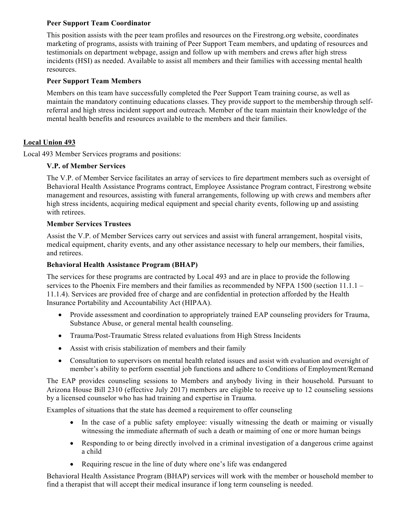# **Peer Support Team Coordinator**

This position assists with the peer team profiles and resources on the Firestrong.org website, coordinates marketing of programs, assists with training of Peer Support Team members, and updating of resources and testimonials on department webpage, assign and follow up with members and crews after high stress incidents (HSI) as needed. Available to assist all members and their families with accessing mental health resources.

# **Peer Support Team Members**

Members on this team have successfully completed the Peer Support Team training course, as well as maintain the mandatory continuing educations classes. They provide support to the membership through selfreferral and high stress incident support and outreach. Member of the team maintain their knowledge of the mental health benefits and resources available to the members and their families.

# **Local Union 493**

Local 493 Member Services programs and positions:

# **V.P. of Member Services**

The V.P. of Member Service facilitates an array of services to fire department members such as oversight of Behavioral Health Assistance Programs contract, Employee Assistance Program contract, Firestrong website management and resources, assisting with funeral arrangements, following up with crews and members after high stress incidents, acquiring medical equipment and special charity events, following up and assisting with retirees.

## **Member Services Trustees**

Assist the V.P. of Member Services carry out services and assist with funeral arrangement, hospital visits, medical equipment, charity events, and any other assistance necessary to help our members, their families, and retirees.

# **Behavioral Health Assistance Program (BHAP)**

The services for these programs are contracted by Local 493 and are in place to provide the following services to the Phoenix Fire members and their families as recommended by NFPA 1500 (section 11.1.1 – 11.1.4). Services are provided free of charge and are confidential in protection afforded by the Health Insurance Portability and Accountability Act (HIPAA).

- Provide assessment and coordination to appropriately trained EAP counseling providers for Trauma, Substance Abuse, or general mental health counseling.
- Trauma/Post-Traumatic Stress related evaluations from High Stress Incidents
- Assist with crisis stabilization of members and their family
- Consultation to supervisors on mental health related issues and assist with evaluation and oversight of member's ability to perform essential job functions and adhere to Conditions of Employment/Remand

The EAP provides counseling sessions to Members and anybody living in their household. Pursuant to Arizona House Bill 2310 (effective July 2017) members are eligible to receive up to 12 counseling sessions by a licensed counselor who has had training and expertise in Trauma.

Examples of situations that the state has deemed a requirement to offer counseling

- In the case of a public safety employee: visually witnessing the death or maiming or visually witnessing the immediate aftermath of such a death or maiming of one or more human beings
- Responding to or being directly involved in a criminal investigation of a dangerous crime against a child
- Requiring rescue in the line of duty where one's life was endangered

Behavioral Health Assistance Program (BHAP) services will work with the member or household member to find a therapist that will accept their medical insurance if long term counseling is needed.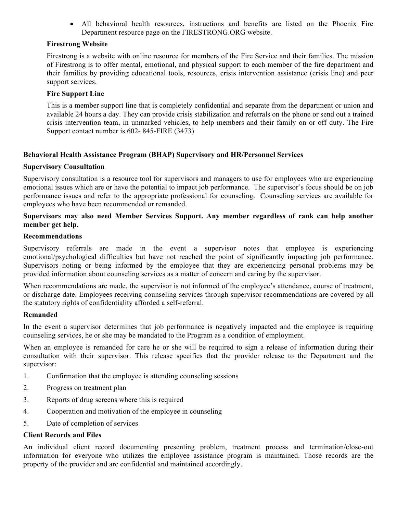• All behavioral health resources, instructions and benefits are listed on the Phoenix Fire Department resource page on the FIRESTRONG.ORG website.

### **Firestrong Website**

Firestrong is a website with online resource for members of the Fire Service and their families. The mission of Firestrong is to offer mental, emotional, and physical support to each member of the fire department and their families by providing educational tools, resources, crisis intervention assistance (crisis line) and peer support services.

#### **Fire Support Line**

This is a member support line that is completely confidential and separate from the department or union and available 24 hours a day. They can provide crisis stabilization and referrals on the phone or send out a trained crisis intervention team, in unmarked vehicles, to help members and their family on or off duty. The Fire Support contact number is 602- 845-FIRE (3473)

### **Behavioral Health Assistance Program (BHAP) Supervisory and HR/Personnel Services**

#### **Supervisory Consultation**

Supervisory consultation is a resource tool for supervisors and managers to use for employees who are experiencing emotional issues which are or have the potential to impact job performance. The supervisor's focus should be on job performance issues and refer to the appropriate professional for counseling. Counseling services are available for employees who have been recommended or remanded.

### **Supervisors may also need Member Services Support. Any member regardless of rank can help another member get help.**

#### **Recommendations**

Supervisory referrals are made in the event a supervisor notes that employee is experiencing emotional/psychological difficulties but have not reached the point of significantly impacting job performance. Supervisors noting or being informed by the employee that they are experiencing personal problems may be provided information about counseling services as a matter of concern and caring by the supervisor.

When recommendations are made, the supervisor is not informed of the employee's attendance, course of treatment, or discharge date. Employees receiving counseling services through supervisor recommendations are covered by all the statutory rights of confidentiality afforded a self-referral.

#### **Remanded**

In the event a supervisor determines that job performance is negatively impacted and the employee is requiring counseling services, he or she may be mandated to the Program as a condition of employment.

When an employee is remanded for care he or she will be required to sign a release of information during their consultation with their supervisor. This release specifies that the provider release to the Department and the supervisor:

- 1. Confirmation that the employee is attending counseling sessions
- 2. Progress on treatment plan
- 3. Reports of drug screens where this is required
- 4. Cooperation and motivation of the employee in counseling
- 5. Date of completion of services

#### **Client Records and Files**

An individual client record documenting presenting problem, treatment process and termination/close-out information for everyone who utilizes the employee assistance program is maintained. Those records are the property of the provider and are confidential and maintained accordingly.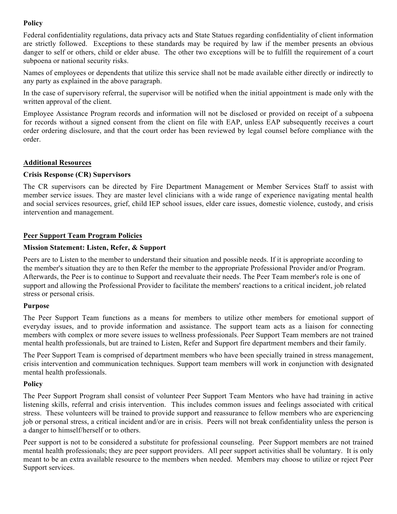# **Policy**

Federal confidentiality regulations, data privacy acts and State Statues regarding confidentiality of client information are strictly followed. Exceptions to these standards may be required by law if the member presents an obvious danger to self or others, child or elder abuse. The other two exceptions will be to fulfill the requirement of a court subpoena or national security risks.

Names of employees or dependents that utilize this service shall not be made available either directly or indirectly to any party as explained in the above paragraph.

In the case of supervisory referral, the supervisor will be notified when the initial appointment is made only with the written approval of the client.

Employee Assistance Program records and information will not be disclosed or provided on receipt of a subpoena for records without a signed consent from the client on file with EAP, unless EAP subsequently receives a court order ordering disclosure, and that the court order has been reviewed by legal counsel before compliance with the order.

## **Additional Resources**

# **Crisis Response (CR) Supervisors**

The CR supervisors can be directed by Fire Department Management or Member Services Staff to assist with member service issues. They are master level clinicians with a wide range of experience navigating mental health and social services resources, grief, child IEP school issues, elder care issues, domestic violence, custody, and crisis intervention and management.

# **Peer Support Team Program Policies**

## **Mission Statement: Listen, Refer, & Support**

Peers are to Listen to the member to understand their situation and possible needs. If it is appropriate according to the member's situation they are to then Refer the member to the appropriate Professional Provider and/or Program. Afterwards, the Peer is to continue to Support and reevaluate their needs. The Peer Team member's role is one of support and allowing the Professional Provider to facilitate the members' reactions to a critical incident, job related stress or personal crisis.

## **Purpose**

The Peer Support Team functions as a means for members to utilize other members for emotional support of everyday issues, and to provide information and assistance. The support team acts as a liaison for connecting members with complex or more severe issues to wellness professionals. Peer Support Team members are not trained mental health professionals, but are trained to Listen, Refer and Support fire department members and their family.

The Peer Support Team is comprised of department members who have been specially trained in stress management, crisis intervention and communication techniques. Support team members will work in conjunction with designated mental health professionals.

# **Policy**

The Peer Support Program shall consist of volunteer Peer Support Team Mentors who have had training in active listening skills, referral and crisis intervention. This includes common issues and feelings associated with critical stress. These volunteers will be trained to provide support and reassurance to fellow members who are experiencing job or personal stress, a critical incident and/or are in crisis. Peers will not break confidentiality unless the person is a danger to himself/herself or to others.

Peer support is not to be considered a substitute for professional counseling. Peer Support members are not trained mental health professionals; they are peer support providers. All peer support activities shall be voluntary. It is only meant to be an extra available resource to the members when needed. Members may choose to utilize or reject Peer Support services.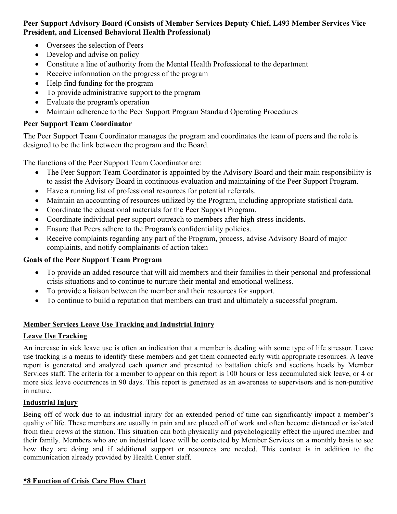# **Peer Support Advisory Board (Consists of Member Services Deputy Chief, L493 Member Services Vice President, and Licensed Behavioral Health Professional)**

- Oversees the selection of Peers
- Develop and advise on policy
- Constitute a line of authority from the Mental Health Professional to the department
- Receive information on the progress of the program
- Help find funding for the program
- To provide administrative support to the program
- Evaluate the program's operation
- Maintain adherence to the Peer Support Program Standard Operating Procedures

# **Peer Support Team Coordinator**

The Peer Support Team Coordinator manages the program and coordinates the team of peers and the role is designed to be the link between the program and the Board.

The functions of the Peer Support Team Coordinator are:

- The Peer Support Team Coordinator is appointed by the Advisory Board and their main responsibility is to assist the Advisory Board in continuous evaluation and maintaining of the Peer Support Program.
- Have a running list of professional resources for potential referrals.
- Maintain an accounting of resources utilized by the Program, including appropriate statistical data.
- Coordinate the educational materials for the Peer Support Program.
- Coordinate individual peer support outreach to members after high stress incidents.
- Ensure that Peers adhere to the Program's confidentiality policies.
- Receive complaints regarding any part of the Program, process, advise Advisory Board of major complaints, and notify complainants of action taken

# **Goals of the Peer Support Team Program**

- To provide an added resource that will aid members and their families in their personal and professional crisis situations and to continue to nurture their mental and emotional wellness.
- To provide a liaison between the member and their resources for support.
- To continue to build a reputation that members can trust and ultimately a successful program.

# **Member Services Leave Use Tracking and Industrial Injury**

## **Leave Use Tracking**

An increase in sick leave use is often an indication that a member is dealing with some type of life stressor. Leave use tracking is a means to identify these members and get them connected early with appropriate resources. A leave report is generated and analyzed each quarter and presented to battalion chiefs and sections heads by Member Services staff. The criteria for a member to appear on this report is 100 hours or less accumulated sick leave, or 4 or more sick leave occurrences in 90 days. This report is generated as an awareness to supervisors and is non-punitive in nature.

# **Industrial Injury**

Being off of work due to an industrial injury for an extended period of time can significantly impact a member's quality of life. These members are usually in pain and are placed off of work and often become distanced or isolated from their crews at the station. This situation can both physically and psychologically effect the injured member and their family. Members who are on industrial leave will be contacted by Member Services on a monthly basis to see how they are doing and if additional support or resources are needed. This contact is in addition to the communication already provided by Health Center staff.

## **\*8 Function of Crisis Care Flow Chart**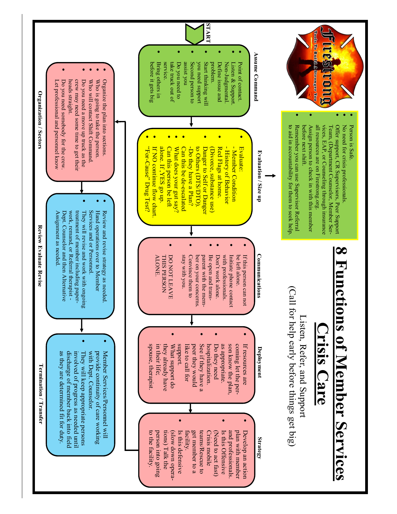